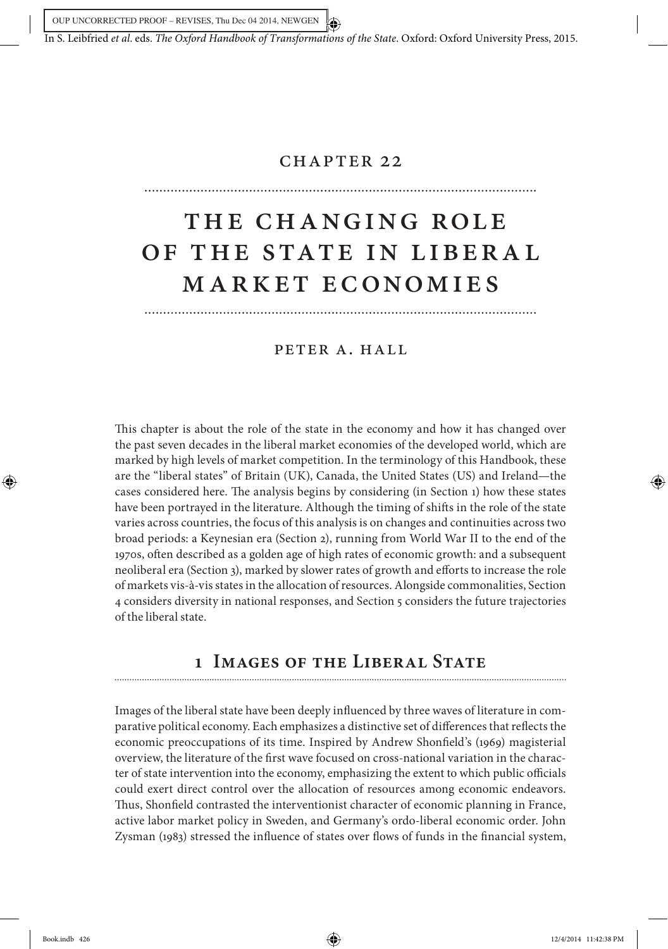In S. Leibfried *et al*. eds. *The Oxford Handbook of Transformations of the State*. Oxford: Oxford University Press, 2015.

### CHAPTER 22

# The Changing Role of the State in Liber al Market Economies

#### Peter A. Hall

This chapter is about the role of the state in the economy and how it has changed over the past seven decades in the liberal market economies of the developed world, which are marked by high levels of market competition. In the terminology of this Handbook, these are the "liberal states" of Britain (UK), Canada, the United States (US) and Ireland—the cases considered here. The analysis begins by considering (in Section 1) how these states have been portrayed in the literature. Although the timing of shifts in the role of the state varies across countries, the focus of this analysis is on changes and continuities across two broad periods: a Keynesian era (Section 2), running from World War II to the end of the 1970s, often described as a golden age of high rates of economic growth: and a subsequent neoliberal era (Section 3), marked by slower rates of growth and efforts to increase the role of markets vis-à-vis states in the allocation of resources. Alongside commonalities, Section 4 considers diversity in national responses, and Section 5 considers the future trajectories of the liberal state.

### **1 Images of the Liberal State**

Images of the liberal state have been deeply influenced by three waves of literature in comparative political economy. Each emphasizes a distinctive set of differences that reflects the economic preoccupations of its time. Inspired by Andrew Shonfield's (1969) magisterial overview, the literature of the first wave focused on cross-national variation in the character of state intervention into the economy, emphasizing the extent to which public officials could exert direct control over the allocation of resources among economic endeavors. Thus, Shonfield contrasted the interventionist character of economic planning in France, active labor market policy in Sweden, and Germany's ordo-liberal economic order. John Zysman (1983) stressed the influence of states over flows of funds in the financial system,

⊕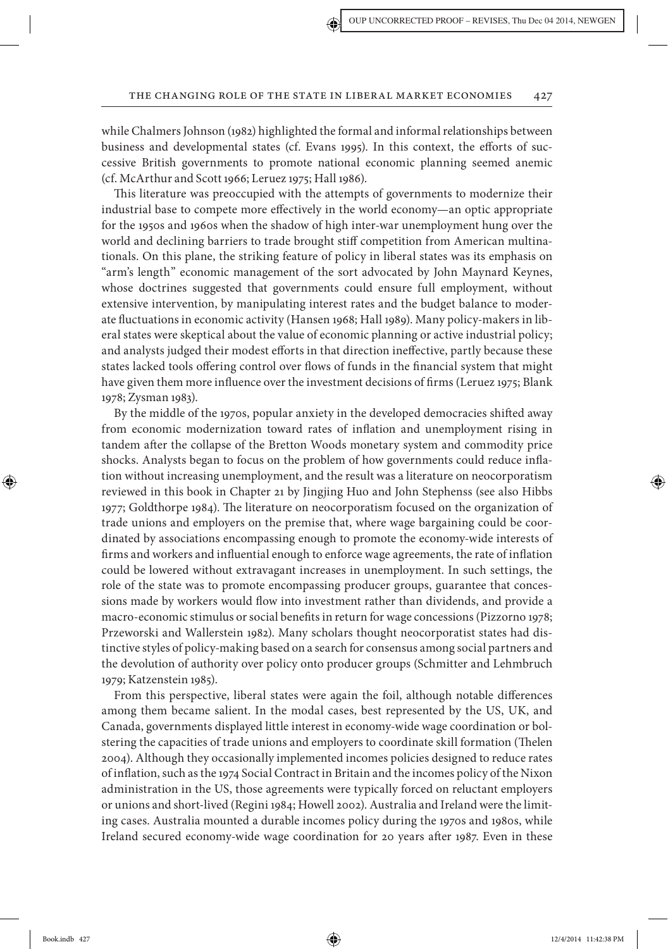while Chalmers Johnson (1982) highlighted the formal and informal relationships between business and developmental states (cf. Evans 1995). In this context, the efforts of successive British governments to promote national economic planning seemed anemic (cf. McArthur and Scott 1966; Leruez 1975; Hall 1986).

This literature was preoccupied with the attempts of governments to modernize their industrial base to compete more effectively in the world economy—an optic appropriate for the 1950s and 1960s when the shadow of high inter-war unemployment hung over the world and declining barriers to trade brought stiff competition from American multinationals. On this plane, the striking feature of policy in liberal states was its emphasis on "arm's length" economic management of the sort advocated by John Maynard Keynes, whose doctrines suggested that governments could ensure full employment, without extensive intervention, by manipulating interest rates and the budget balance to moderate fluctuations in economic activity (Hansen 1968; Hall 1989). Many policy-makers in liberal states were skeptical about the value of economic planning or active industrial policy; and analysts judged their modest efforts in that direction ineffective, partly because these states lacked tools offering control over flows of funds in the financial system that might have given them more influence over the investment decisions of firms (Leruez 1975; Blank 1978; Zysman 1983).

By the middle of the 1970s, popular anxiety in the developed democracies shifted away from economic modernization toward rates of inflation and unemployment rising in tandem after the collapse of the Bretton Woods monetary system and commodity price shocks. Analysts began to focus on the problem of how governments could reduce inflation without increasing unemployment, and the result was a literature on neocorporatism reviewed in this book in Chapter 21 by Jingjing Huo and John Stephenss (see also Hibbs 1977; Goldthorpe 1984). The literature on neocorporatism focused on the organization of trade unions and employers on the premise that, where wage bargaining could be coordinated by associations encompassing enough to promote the economy-wide interests of firms and workers and influential enough to enforce wage agreements, the rate of inflation could be lowered without extravagant increases in unemployment. In such settings, the role of the state was to promote encompassing producer groups, guarantee that concessions made by workers would flow into investment rather than dividends, and provide a macro-economic stimulus or social benefits in return for wage concessions (Pizzorno 1978; Przeworski and Wallerstein 1982). Many scholars thought neocorporatist states had distinctive styles of policy-making based on a search for consensus among social partners and the devolution of authority over policy onto producer groups (Schmitter and Lehmbruch 1979; Katzenstein 1985).

From this perspective, liberal states were again the foil, although notable differences among them became salient. In the modal cases, best represented by the US, UK, and Canada, governments displayed little interest in economy-wide wage coordination or bolstering the capacities of trade unions and employers to coordinate skill formation (Thelen 2004). Although they occasionally implemented incomes policies designed to reduce rates of inflation, such as the 1974 Social Contract in Britain and the incomes policy of the Nixon administration in the US, those agreements were typically forced on reluctant employers or unions and short-lived (Regini 1984; Howell 2002). Australia and Ireland were the limiting cases. Australia mounted a durable incomes policy during the 1970s and 1980s, while Ireland secured economy-wide wage coordination for 20 years after 1987. Even in these

⊕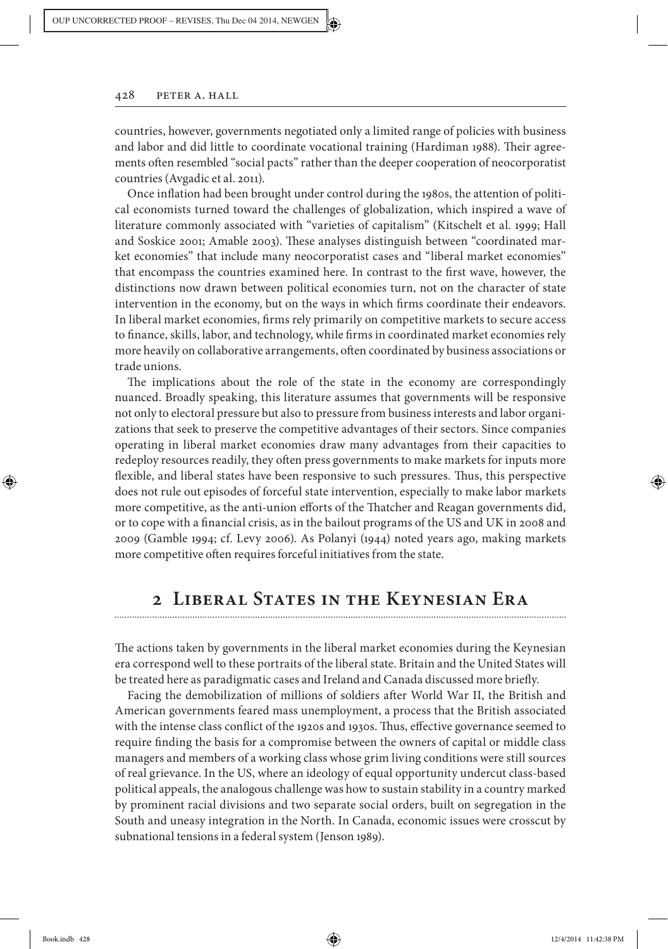countries, however, governments negotiated only a limited range of policies with business and labor and did little to coordinate vocational training (Hardiman 1988). Their agreements often resembled "social pacts" rather than the deeper cooperation of neocorporatist countries (Avgadic et al. 2011).

Once inflation had been brought under control during the 1980s, the attention of political economists turned toward the challenges of globalization, which inspired a wave of literature commonly associated with "varieties of capitalism" (Kitschelt et al. 1999; Hall and Soskice 2001; Amable 2003). These analyses distinguish between "coordinated market economies" that include many neocorporatist cases and "liberal market economies" that encompass the countries examined here. In contrast to the first wave, however, the distinctions now drawn between political economies turn, not on the character of state intervention in the economy, but on the ways in which firms coordinate their endeavors. In liberal market economies, firms rely primarily on competitive markets to secure access to finance, skills, labor, and technology, while firms in coordinated market economies rely more heavily on collaborative arrangements, often coordinated by business associations or trade unions.

The implications about the role of the state in the economy are correspondingly nuanced. Broadly speaking, this literature assumes that governments will be responsive not only to electoral pressure but also to pressure from business interests and labor organizations that seek to preserve the competitive advantages of their sectors. Since companies operating in liberal market economies draw many advantages from their capacities to redeploy resources readily, they often press governments to make markets for inputs more flexible, and liberal states have been responsive to such pressures. Thus, this perspective does not rule out episodes of forceful state intervention, especially to make labor markets more competitive, as the anti-union efforts of the Thatcher and Reagan governments did, or to cope with a financial crisis, as in the bailout programs of the US and UK in 2008 and 2009 (Gamble 1994; cf. Levy 2006). As Polanyi (1944) noted years ago, making markets more competitive often requires forceful initiatives from the state.

### **2 Liberal States in the Keynesian Era**

The actions taken by governments in the liberal market economies during the Keynesian era correspond well to these portraits of the liberal state. Britain and the United States will be treated here as paradigmatic cases and Ireland and Canada discussed more briefly.

Facing the demobilization of millions of soldiers after World War II, the British and American governments feared mass unemployment, a process that the British associated with the intense class conflict of the 1920s and 1930s. Thus, effective governance seemed to require finding the basis for a compromise between the owners of capital or middle class managers and members of a working class whose grim living conditions were still sources of real grievance. In the US, where an ideology of equal opportunity undercut class-based political appeals, the analogous challenge was how to sustain stability in a country marked by prominent racial divisions and two separate social orders, built on segregation in the South and uneasy integration in the North. In Canada, economic issues were crosscut by subnational tensions in a federal system (Jenson 1989).

⊕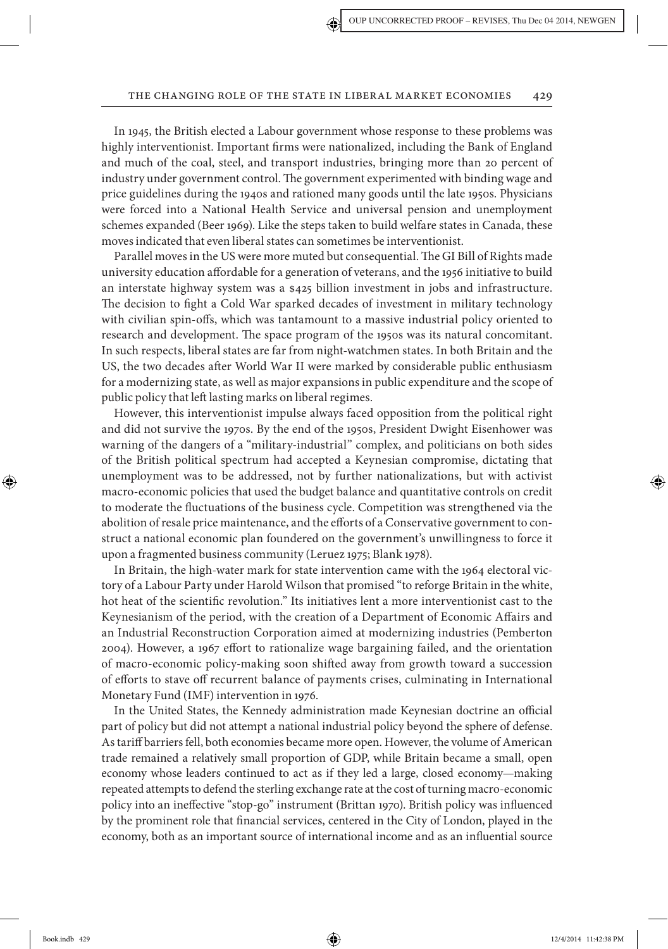In 1945, the British elected a Labour government whose response to these problems was highly interventionist. Important firms were nationalized, including the Bank of England and much of the coal, steel, and transport industries, bringing more than 20 percent of industry under government control. The government experimented with binding wage and price guidelines during the 1940s and rationed many goods until the late 1950s. Physicians were forced into a National Health Service and universal pension and unemployment schemes expanded (Beer 1969). Like the steps taken to build welfare states in Canada, these moves indicated that even liberal states can sometimes be interventionist.

Parallel moves in the US were more muted but consequential. The GI Bill of Rights made university education affordable for a generation of veterans, and the 1956 initiative to build an interstate highway system was a \$425 billion investment in jobs and infrastructure. The decision to fight a Cold War sparked decades of investment in military technology with civilian spin-offs, which was tantamount to a massive industrial policy oriented to research and development. The space program of the 1950s was its natural concomitant. In such respects, liberal states are far from night-watchmen states. In both Britain and the US, the two decades after World War II were marked by considerable public enthusiasm for a modernizing state, as well as major expansions in public expenditure and the scope of public policy that left lasting marks on liberal regimes.

However, this interventionist impulse always faced opposition from the political right and did not survive the 1970s. By the end of the 1950s, President Dwight Eisenhower was warning of the dangers of a "military-industrial" complex, and politicians on both sides of the British political spectrum had accepted a Keynesian compromise, dictating that unemployment was to be addressed, not by further nationalizations, but with activist macro-economic policies that used the budget balance and quantitative controls on credit to moderate the fluctuations of the business cycle. Competition was strengthened via the abolition of resale price maintenance, and the efforts of a Conservative government to construct a national economic plan foundered on the government's unwillingness to force it upon a fragmented business community (Leruez 1975; Blank 1978).

In Britain, the high-water mark for state intervention came with the 1964 electoral victory of a Labour Party under Harold Wilson that promised "to reforge Britain in the white, hot heat of the scientific revolution." Its initiatives lent a more interventionist cast to the Keynesianism of the period, with the creation of a Department of Economic Affairs and an Industrial Reconstruction Corporation aimed at modernizing industries (Pemberton 2004). However, a 1967 effort to rationalize wage bargaining failed, and the orientation of macro-economic policy-making soon shifted away from growth toward a succession of efforts to stave off recurrent balance of payments crises, culminating in International Monetary Fund (IMF) intervention in 1976.

In the United States, the Kennedy administration made Keynesian doctrine an official part of policy but did not attempt a national industrial policy beyond the sphere of defense. As tariff barriers fell, both economies became more open. However, the volume of American trade remained a relatively small proportion of GDP, while Britain became a small, open economy whose leaders continued to act as if they led a large, closed economy—making repeated attempts to defend the sterling exchange rate at the cost of turning macro-economic policy into an ineffective "stop-go" instrument (Brittan 1970). British policy was influenced by the prominent role that financial services, centered in the City of London, played in the economy, both as an important source of international income and as an influential source

⊕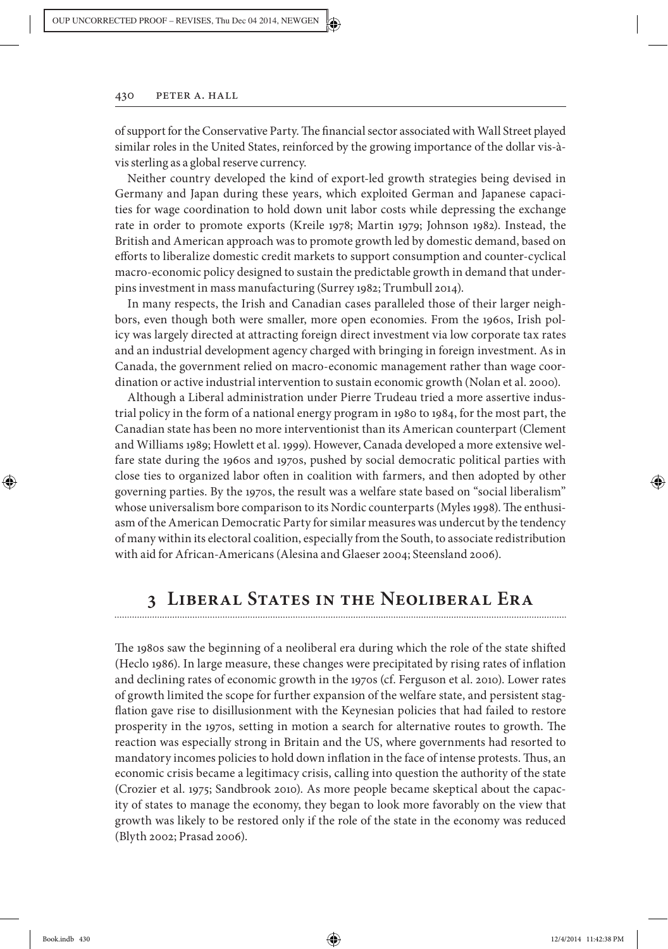of support for the Conservative Party. The financial sector associated with Wall Street played similar roles in the United States, reinforced by the growing importance of the dollar vis-àvis sterling as a global reserve currency.

Neither country developed the kind of export-led growth strategies being devised in Germany and Japan during these years, which exploited German and Japanese capacities for wage coordination to hold down unit labor costs while depressing the exchange rate in order to promote exports (Kreile 1978; Martin 1979; Johnson 1982). Instead, the British and American approach was to promote growth led by domestic demand, based on efforts to liberalize domestic credit markets to support consumption and counter-cyclical macro-economic policy designed to sustain the predictable growth in demand that underpins investment in mass manufacturing (Surrey 1982; Trumbull 2014).

In many respects, the Irish and Canadian cases paralleled those of their larger neighbors, even though both were smaller, more open economies. From the 1960s, Irish policy was largely directed at attracting foreign direct investment via low corporate tax rates and an industrial development agency charged with bringing in foreign investment. As in Canada, the government relied on macro-economic management rather than wage coordination or active industrial intervention to sustain economic growth (Nolan et al. 2000).

Although a Liberal administration under Pierre Trudeau tried a more assertive industrial policy in the form of a national energy program in 1980 to 1984, for the most part, the Canadian state has been no more interventionist than its American counterpart (Clement and Williams 1989; Howlett et al. 1999). However, Canada developed a more extensive welfare state during the 1960s and 1970s, pushed by social democratic political parties with close ties to organized labor often in coalition with farmers, and then adopted by other governing parties. By the 1970s, the result was a welfare state based on "social liberalism" whose universalism bore comparison to its Nordic counterparts (Myles 1998). The enthusiasm of the American Democratic Party for similar measures was undercut by the tendency of many within its electoral coalition, especially from the South, to associate redistribution with aid for African-Americans (Alesina and Glaeser 2004; Steensland 2006).

### **3 Liberal States in the Neoliberal Era**

The 1980s saw the beginning of a neoliberal era during which the role of the state shifted (Heclo 1986). In large measure, these changes were precipitated by rising rates of inflation and declining rates of economic growth in the 1970s (cf. Ferguson et al. 2010). Lower rates of growth limited the scope for further expansion of the welfare state, and persistent stagflation gave rise to disillusionment with the Keynesian policies that had failed to restore prosperity in the 1970s, setting in motion a search for alternative routes to growth. The reaction was especially strong in Britain and the US, where governments had resorted to mandatory incomes policies to hold down inflation in the face of intense protests. Thus, an economic crisis became a legitimacy crisis, calling into question the authority of the state (Crozier et al. 1975; Sandbrook 2010). As more people became skeptical about the capacity of states to manage the economy, they began to look more favorably on the view that growth was likely to be restored only if the role of the state in the economy was reduced (Blyth 2002; Prasad 2006).

⊕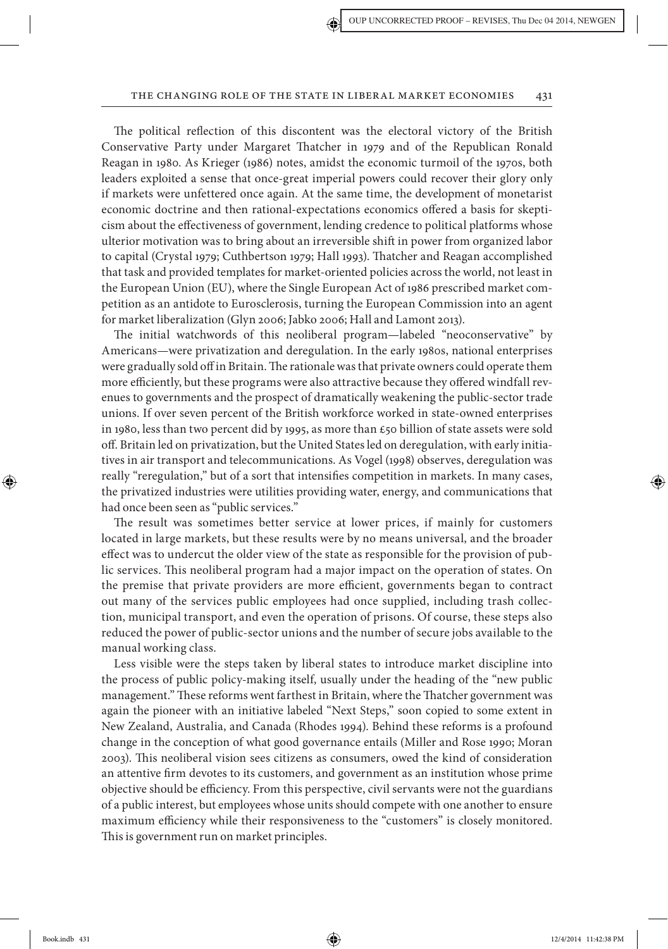The political reflection of this discontent was the electoral victory of the British Conservative Party under Margaret Thatcher in 1979 and of the Republican Ronald Reagan in 1980. As Krieger (1986) notes, amidst the economic turmoil of the 1970s, both leaders exploited a sense that once-great imperial powers could recover their glory only if markets were unfettered once again. At the same time, the development of monetarist economic doctrine and then rational-expectations economics offered a basis for skepticism about the effectiveness of government, lending credence to political platforms whose ulterior motivation was to bring about an irreversible shift in power from organized labor to capital (Crystal 1979; Cuthbertson 1979; Hall 1993). Thatcher and Reagan accomplished that task and provided templates for market-oriented policies across the world, not least in the European Union (EU), where the Single European Act of 1986 prescribed market competition as an antidote to Eurosclerosis, turning the European Commission into an agent for market liberalization (Glyn 2006; Jabko 2006; Hall and Lamont 2013).

The initial watchwords of this neoliberal program—labeled "neoconservative" by Americans—were privatization and deregulation. In the early 1980s, national enterprises were gradually sold off in Britain. The rationale was that private owners could operate them more efficiently, but these programs were also attractive because they offered windfall revenues to governments and the prospect of dramatically weakening the public-sector trade unions. If over seven percent of the British workforce worked in state-owned enterprises in 1980, less than two percent did by 1995, as more than  $\epsilon$ 50 billion of state assets were sold off. Britain led on privatization, but the United States led on deregulation, with early initiatives in air transport and telecommunications. As Vogel (1998) observes, deregulation was really "reregulation," but of a sort that intensifies competition in markets. In many cases, the privatized industries were utilities providing water, energy, and communications that had once been seen as "public services."

The result was sometimes better service at lower prices, if mainly for customers located in large markets, but these results were by no means universal, and the broader effect was to undercut the older view of the state as responsible for the provision of public services. This neoliberal program had a major impact on the operation of states. On the premise that private providers are more efficient, governments began to contract out many of the services public employees had once supplied, including trash collection, municipal transport, and even the operation of prisons. Of course, these steps also reduced the power of public-sector unions and the number of secure jobs available to the manual working class.

Less visible were the steps taken by liberal states to introduce market discipline into the process of public policy-making itself, usually under the heading of the "new public management." These reforms went farthest in Britain, where the Thatcher government was again the pioneer with an initiative labeled "Next Steps," soon copied to some extent in New Zealand, Australia, and Canada (Rhodes 1994). Behind these reforms is a profound change in the conception of what good governance entails (Miller and Rose 1990; Moran 2003). This neoliberal vision sees citizens as consumers, owed the kind of consideration an attentive firm devotes to its customers, and government as an institution whose prime objective should be efficiency. From this perspective, civil servants were not the guardians of a public interest, but employees whose units should compete with one another to ensure maximum efficiency while their responsiveness to the "customers" is closely monitored. This is government run on market principles.

⊕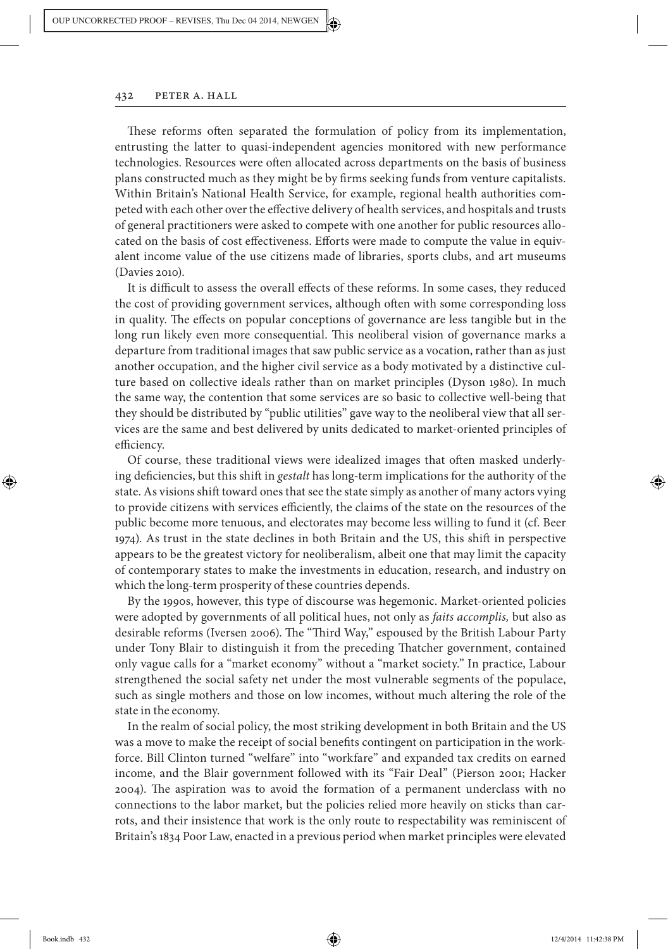These reforms often separated the formulation of policy from its implementation, entrusting the latter to quasi-independent agencies monitored with new performance technologies. Resources were often allocated across departments on the basis of business plans constructed much as they might be by firms seeking funds from venture capitalists. Within Britain's National Health Service, for example, regional health authorities competed with each other over the effective delivery of health services, and hospitals and trusts of general practitioners were asked to compete with one another for public resources allocated on the basis of cost effectiveness. Efforts were made to compute the value in equivalent income value of the use citizens made of libraries, sports clubs, and art museums (Davies 2010).

It is difficult to assess the overall effects of these reforms. In some cases, they reduced the cost of providing government services, although often with some corresponding loss in quality. The effects on popular conceptions of governance are less tangible but in the long run likely even more consequential. This neoliberal vision of governance marks a departure from traditional images that saw public service as a vocation, rather than as just another occupation, and the higher civil service as a body motivated by a distinctive culture based on collective ideals rather than on market principles (Dyson 1980). In much the same way, the contention that some services are so basic to collective well-being that they should be distributed by "public utilities" gave way to the neoliberal view that all services are the same and best delivered by units dedicated to market-oriented principles of efficiency.

Of course, these traditional views were idealized images that often masked underlying deficiencies, but this shift in *gestalt* has long-term implications for the authority of the state. As visions shift toward ones that see the state simply as another of many actors vying to provide citizens with services efficiently, the claims of the state on the resources of the public become more tenuous, and electorates may become less willing to fund it (cf. Beer 1974). As trust in the state declines in both Britain and the US, this shift in perspective appears to be the greatest victory for neoliberalism, albeit one that may limit the capacity of contemporary states to make the investments in education, research, and industry on which the long-term prosperity of these countries depends.

By the 1990s, however, this type of discourse was hegemonic. Market-oriented policies were adopted by governments of all political hues, not only as *faits accomplis,* but also as desirable reforms (Iversen 2006). The "Third Way," espoused by the British Labour Party under Tony Blair to distinguish it from the preceding Thatcher government, contained only vague calls for a "market economy" without a "market society." In practice, Labour strengthened the social safety net under the most vulnerable segments of the populace, such as single mothers and those on low incomes, without much altering the role of the state in the economy.

In the realm of social policy, the most striking development in both Britain and the US was a move to make the receipt of social benefits contingent on participation in the workforce. Bill Clinton turned "welfare" into "workfare" and expanded tax credits on earned income, and the Blair government followed with its "Fair Deal" (Pierson 2001; Hacker 2004). The aspiration was to avoid the formation of a permanent underclass with no connections to the labor market, but the policies relied more heavily on sticks than carrots, and their insistence that work is the only route to respectability was reminiscent of Britain's 1834 Poor Law, enacted in a previous period when market principles were elevated

⊕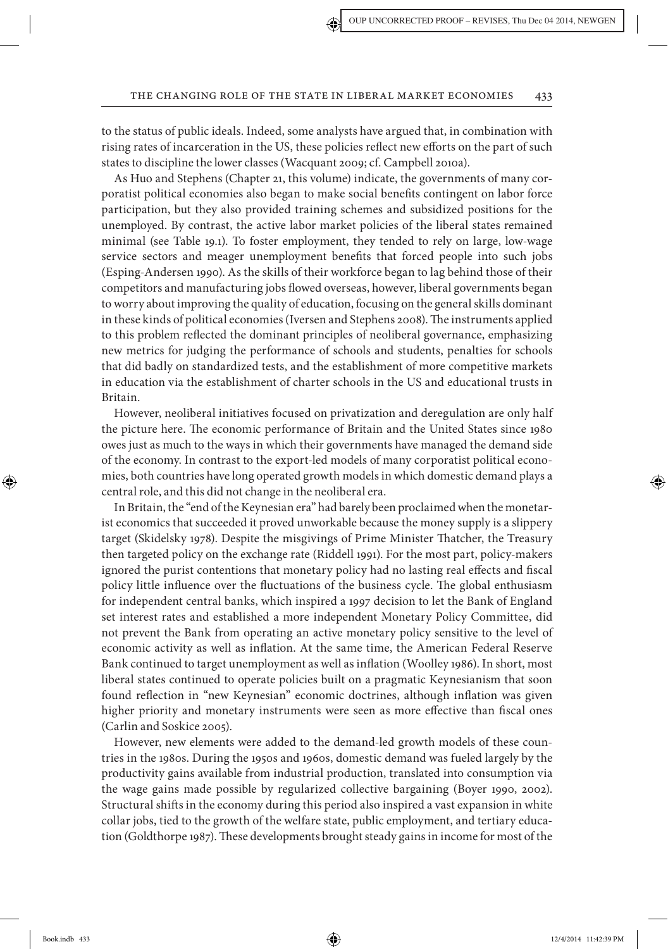to the status of public ideals. Indeed, some analysts have argued that, in combination with rising rates of incarceration in the US, these policies reflect new efforts on the part of such states to discipline the lower classes (Wacquant 2009; cf. Campbell 2010a).

As Huo and Stephens (Chapter 21, this volume) indicate, the governments of many corporatist political economies also began to make social benefits contingent on labor force participation, but they also provided training schemes and subsidized positions for the unemployed. By contrast, the active labor market policies of the liberal states remained minimal (see Table 19.1). To foster employment, they tended to rely on large, low-wage service sectors and meager unemployment benefits that forced people into such jobs (Esping-Andersen 1990). As the skills of their workforce began to lag behind those of their competitors and manufacturing jobs flowed overseas, however, liberal governments began to worry about improving the quality of education, focusing on the general skills dominant in these kinds of political economies (Iversen and Stephens 2008). The instruments applied to this problem reflected the dominant principles of neoliberal governance, emphasizing new metrics for judging the performance of schools and students, penalties for schools that did badly on standardized tests, and the establishment of more competitive markets in education via the establishment of charter schools in the US and educational trusts in Britain.

However, neoliberal initiatives focused on privatization and deregulation are only half the picture here. The economic performance of Britain and the United States since 1980 owes just as much to the ways in which their governments have managed the demand side of the economy. In contrast to the export-led models of many corporatist political economies, both countries have long operated growth models in which domestic demand plays a central role, and this did not change in the neoliberal era.

In Britain, the "end of the Keynesian era" had barely been proclaimed when the monetarist economics that succeeded it proved unworkable because the money supply is a slippery target (Skidelsky 1978). Despite the misgivings of Prime Minister Thatcher, the Treasury then targeted policy on the exchange rate (Riddell 1991). For the most part, policy-makers ignored the purist contentions that monetary policy had no lasting real effects and fiscal policy little influence over the fluctuations of the business cycle. The global enthusiasm for independent central banks, which inspired a 1997 decision to let the Bank of England set interest rates and established a more independent Monetary Policy Committee, did not prevent the Bank from operating an active monetary policy sensitive to the level of economic activity as well as inflation. At the same time, the American Federal Reserve Bank continued to target unemployment as well as inflation (Woolley 1986). In short, most liberal states continued to operate policies built on a pragmatic Keynesianism that soon found reflection in "new Keynesian" economic doctrines, although inflation was given higher priority and monetary instruments were seen as more effective than fiscal ones (Carlin and Soskice 2005).

However, new elements were added to the demand-led growth models of these countries in the 1980s. During the 1950s and 1960s, domestic demand was fueled largely by the productivity gains available from industrial production, translated into consumption via the wage gains made possible by regularized collective bargaining (Boyer 1990, 2002). Structural shifts in the economy during this period also inspired a vast expansion in white collar jobs, tied to the growth of the welfare state, public employment, and tertiary education (Goldthorpe 1987). These developments brought steady gains in income for most of the

⊕

Book.indb 433 12/4/2014 11:42:39 PM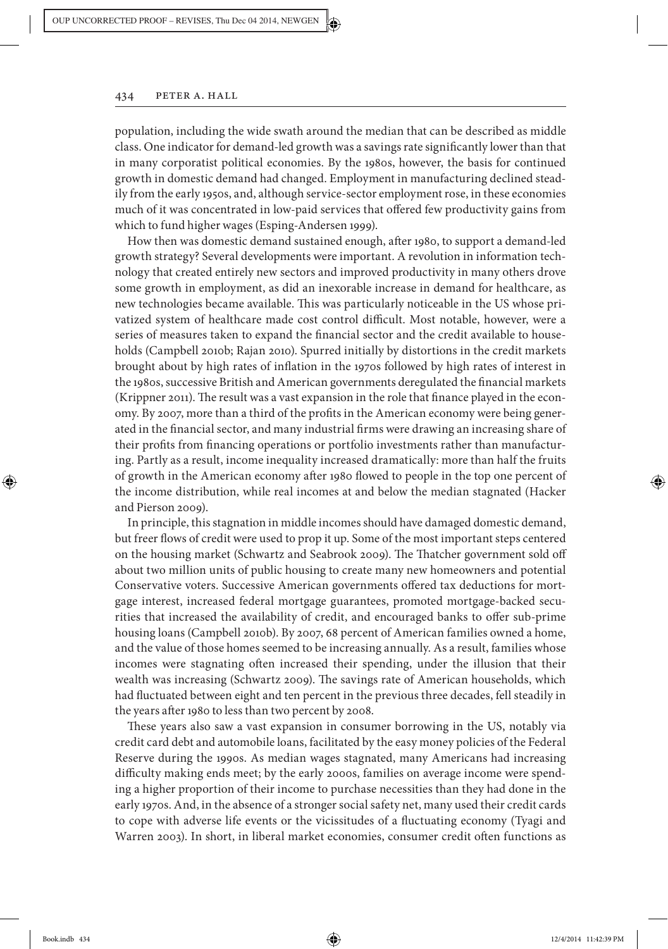population, including the wide swath around the median that can be described as middle class. One indicator for demand-led growth was a savings rate significantly lower than that in many corporatist political economies. By the 1980s, however, the basis for continued growth in domestic demand had changed. Employment in manufacturing declined steadily from the early 1950s, and, although service-sector employment rose, in these economies much of it was concentrated in low-paid services that offered few productivity gains from which to fund higher wages (Esping-Andersen 1999).

How then was domestic demand sustained enough, after 1980, to support a demand-led growth strategy? Several developments were important. A revolution in information technology that created entirely new sectors and improved productivity in many others drove some growth in employment, as did an inexorable increase in demand for healthcare, as new technologies became available. This was particularly noticeable in the US whose privatized system of healthcare made cost control difficult. Most notable, however, were a series of measures taken to expand the financial sector and the credit available to households (Campbell 2010b; Rajan 2010). Spurred initially by distortions in the credit markets brought about by high rates of inflation in the 1970s followed by high rates of interest in the 1980s, successive British and American governments deregulated the financial markets (Krippner 2011). The result was a vast expansion in the role that finance played in the economy. By 2007, more than a third of the profits in the American economy were being generated in the financial sector, and many industrial firms were drawing an increasing share of their profits from financing operations or portfolio investments rather than manufacturing. Partly as a result, income inequality increased dramatically: more than half the fruits of growth in the American economy after 1980 flowed to people in the top one percent of the income distribution, while real incomes at and below the median stagnated (Hacker and Pierson 2009).

In principle, this stagnation in middle incomes should have damaged domestic demand, but freer flows of credit were used to prop it up. Some of the most important steps centered on the housing market (Schwartz and Seabrook 2009). The Thatcher government sold off about two million units of public housing to create many new homeowners and potential Conservative voters. Successive American governments offered tax deductions for mortgage interest, increased federal mortgage guarantees, promoted mortgage-backed securities that increased the availability of credit, and encouraged banks to offer sub-prime housing loans (Campbell 2010b). By 2007, 68 percent of American families owned a home, and the value of those homes seemed to be increasing annually. As a result, families whose incomes were stagnating often increased their spending, under the illusion that their wealth was increasing (Schwartz 2009). The savings rate of American households, which had fluctuated between eight and ten percent in the previous three decades, fell steadily in the years after 1980 to less than two percent by 2008.

These years also saw a vast expansion in consumer borrowing in the US, notably via credit card debt and automobile loans, facilitated by the easy money policies of the Federal Reserve during the 1990s. As median wages stagnated, many Americans had increasing difficulty making ends meet; by the early 2000s, families on average income were spending a higher proportion of their income to purchase necessities than they had done in the early 1970s. And, in the absence of a stronger social safety net, many used their credit cards to cope with adverse life events or the vicissitudes of a fluctuating economy (Tyagi and Warren 2003). In short, in liberal market economies, consumer credit often functions as

⊕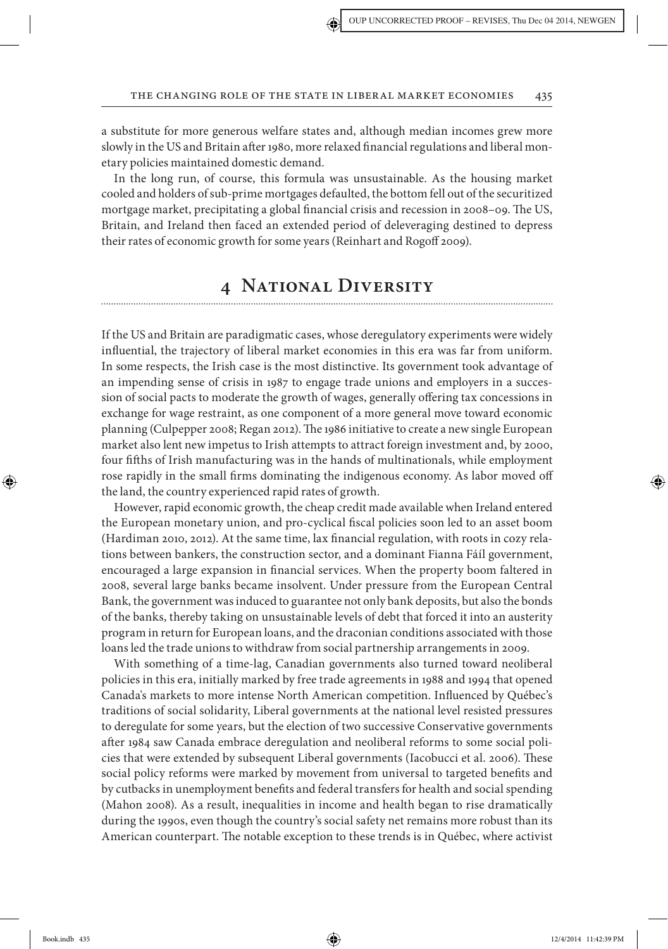a substitute for more generous welfare states and, although median incomes grew more slowly in the US and Britain after 1980, more relaxed financial regulations and liberal monetary policies maintained domestic demand.

In the long run, of course, this formula was unsustainable. As the housing market cooled and holders of sub-prime mortgages defaulted, the bottom fell out of the securitized mortgage market, precipitating a global financial crisis and recession in 2008–09. The US, Britain, and Ireland then faced an extended period of deleveraging destined to depress their rates of economic growth for some years (Reinhart and Rogoff 2009).

### **4 National Diversity**

If the US and Britain are paradigmatic cases, whose deregulatory experiments were widely influential, the trajectory of liberal market economies in this era was far from uniform. In some respects, the Irish case is the most distinctive. Its government took advantage of an impending sense of crisis in 1987 to engage trade unions and employers in a succession of social pacts to moderate the growth of wages, generally offering tax concessions in exchange for wage restraint, as one component of a more general move toward economic planning (Culpepper 2008; Regan 2012). The 1986 initiative to create a new single European market also lent new impetus to Irish attempts to attract foreign investment and, by 2000, four fifths of Irish manufacturing was in the hands of multinationals, while employment rose rapidly in the small firms dominating the indigenous economy. As labor moved off the land, the country experienced rapid rates of growth.

However, rapid economic growth, the cheap credit made available when Ireland entered the European monetary union, and pro-cyclical fiscal policies soon led to an asset boom (Hardiman 2010, 2012). At the same time, lax financial regulation, with roots in cozy relations between bankers, the construction sector, and a dominant Fianna Fáíl government, encouraged a large expansion in financial services. When the property boom faltered in 2008, several large banks became insolvent. Under pressure from the European Central Bank, the government was induced to guarantee not only bank deposits, but also the bonds of the banks, thereby taking on unsustainable levels of debt that forced it into an austerity program in return for European loans, and the draconian conditions associated with those loans led the trade unions to withdraw from social partnership arrangements in 2009.

With something of a time-lag, Canadian governments also turned toward neoliberal policies in this era, initially marked by free trade agreements in 1988 and 1994 that opened Canada's markets to more intense North American competition. Influenced by Québec's traditions of social solidarity, Liberal governments at the national level resisted pressures to deregulate for some years, but the election of two successive Conservative governments after 1984 saw Canada embrace deregulation and neoliberal reforms to some social policies that were extended by subsequent Liberal governments (Iacobucci et al. 2006). These social policy reforms were marked by movement from universal to targeted benefits and by cutbacks in unemployment benefits and federal transfers for health and social spending (Mahon 2008). As a result, inequalities in income and health began to rise dramatically during the 1990s, even though the country's social safety net remains more robust than its American counterpart. The notable exception to these trends is in Québec, where activist

⊕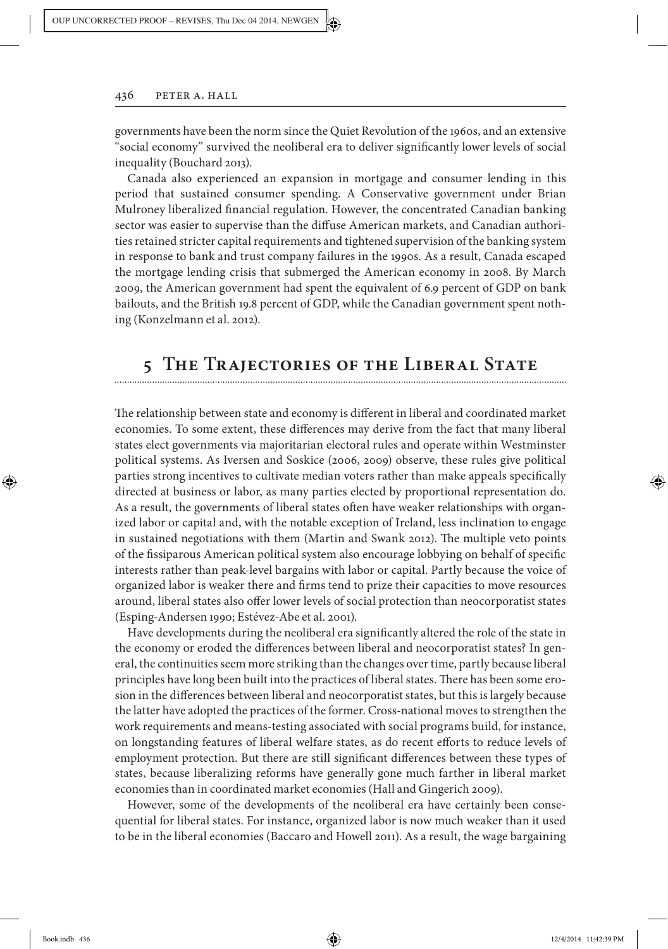governments have been the norm since the Quiet Revolution of the 1960s, and an extensive "social economy" survived the neoliberal era to deliver significantly lower levels of social inequality (Bouchard 2013).

Canada also experienced an expansion in mortgage and consumer lending in this period that sustained consumer spending. A Conservative government under Brian Mulroney liberalized financial regulation. However, the concentrated Canadian banking sector was easier to supervise than the diffuse American markets, and Canadian authorities retained stricter capital requirements and tightened supervision of the banking system in response to bank and trust company failures in the 1990s. As a result, Canada escaped the mortgage lending crisis that submerged the American economy in 2008. By March 2009, the American government had spent the equivalent of 6.9 percent of GDP on bank bailouts, and the British 19.8 percent of GDP, while the Canadian government spent nothing (Konzelmann et al. 2012).

### **5 The Trajectories of the Liberal State**

The relationship between state and economy is different in liberal and coordinated market economies. To some extent, these differences may derive from the fact that many liberal states elect governments via majoritarian electoral rules and operate within Westminster political systems. As Iversen and Soskice (2006, 2009) observe, these rules give political parties strong incentives to cultivate median voters rather than make appeals specifically directed at business or labor, as many parties elected by proportional representation do. As a result, the governments of liberal states often have weaker relationships with organized labor or capital and, with the notable exception of Ireland, less inclination to engage in sustained negotiations with them (Martin and Swank 2012). The multiple veto points of the fissiparous American political system also encourage lobbying on behalf of specific interests rather than peak-level bargains with labor or capital. Partly because the voice of organized labor is weaker there and firms tend to prize their capacities to move resources around, liberal states also offer lower levels of social protection than neocorporatist states (Esping-Andersen 1990; Estévez-Abe et al. 2001).

Have developments during the neoliberal era significantly altered the role of the state in the economy or eroded the differences between liberal and neocorporatist states? In general, the continuities seem more striking than the changes over time, partly because liberal principles have long been built into the practices of liberal states. There has been some erosion in the differences between liberal and neocorporatist states, but this is largely because the latter have adopted the practices of the former. Cross-national moves to strengthen the work requirements and means-testing associated with social programs build, for instance, on longstanding features of liberal welfare states, as do recent efforts to reduce levels of employment protection. But there are still significant differences between these types of states, because liberalizing reforms have generally gone much farther in liberal market economies than in coordinated market economies (Hall and Gingerich 2009).

However, some of the developments of the neoliberal era have certainly been consequential for liberal states. For instance, organized labor is now much weaker than it used to be in the liberal economies (Baccaro and Howell 2011). As a result, the wage bargaining

⊕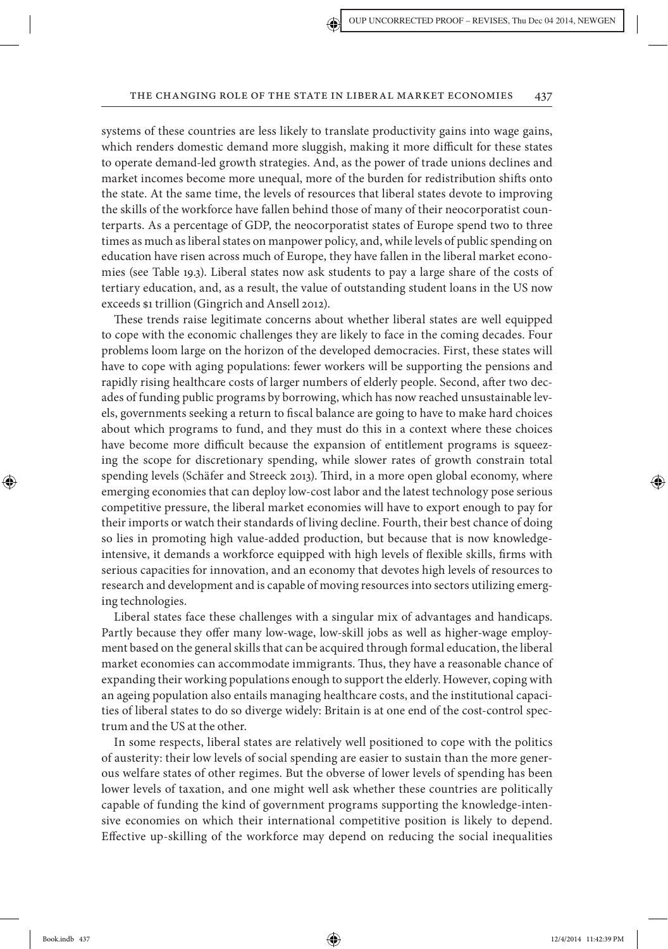systems of these countries are less likely to translate productivity gains into wage gains, which renders domestic demand more sluggish, making it more difficult for these states to operate demand-led growth strategies. And, as the power of trade unions declines and market incomes become more unequal, more of the burden for redistribution shifts onto the state. At the same time, the levels of resources that liberal states devote to improving the skills of the workforce have fallen behind those of many of their neocorporatist counterparts. As a percentage of GDP, the neocorporatist states of Europe spend two to three times as much as liberal states on manpower policy, and, while levels of public spending on education have risen across much of Europe, they have fallen in the liberal market economies (see Table 19.3). Liberal states now ask students to pay a large share of the costs of tertiary education, and, as a result, the value of outstanding student loans in the US now exceeds \$1 trillion (Gingrich and Ansell 2012).

These trends raise legitimate concerns about whether liberal states are well equipped to cope with the economic challenges they are likely to face in the coming decades. Four problems loom large on the horizon of the developed democracies. First, these states will have to cope with aging populations: fewer workers will be supporting the pensions and rapidly rising healthcare costs of larger numbers of elderly people. Second, after two decades of funding public programs by borrowing, which has now reached unsustainable levels, governments seeking a return to fiscal balance are going to have to make hard choices about which programs to fund, and they must do this in a context where these choices have become more difficult because the expansion of entitlement programs is squeezing the scope for discretionary spending, while slower rates of growth constrain total spending levels (Schäfer and Streeck 2013). Third, in a more open global economy, where emerging economies that can deploy low-cost labor and the latest technology pose serious competitive pressure, the liberal market economies will have to export enough to pay for their imports or watch their standards of living decline. Fourth, their best chance of doing so lies in promoting high value-added production, but because that is now knowledgeintensive, it demands a workforce equipped with high levels of flexible skills, firms with serious capacities for innovation, and an economy that devotes high levels of resources to research and development and is capable of moving resources into sectors utilizing emerging technologies.

Liberal states face these challenges with a singular mix of advantages and handicaps. Partly because they offer many low-wage, low-skill jobs as well as higher-wage employment based on the general skills that can be acquired through formal education, the liberal market economies can accommodate immigrants. Thus, they have a reasonable chance of expanding their working populations enough to support the elderly. However, coping with an ageing population also entails managing healthcare costs, and the institutional capacities of liberal states to do so diverge widely: Britain is at one end of the cost-control spectrum and the US at the other.

In some respects, liberal states are relatively well positioned to cope with the politics of austerity: their low levels of social spending are easier to sustain than the more generous welfare states of other regimes. But the obverse of lower levels of spending has been lower levels of taxation, and one might well ask whether these countries are politically capable of funding the kind of government programs supporting the knowledge-intensive economies on which their international competitive position is likely to depend. Effective up-skilling of the workforce may depend on reducing the social inequalities

⊕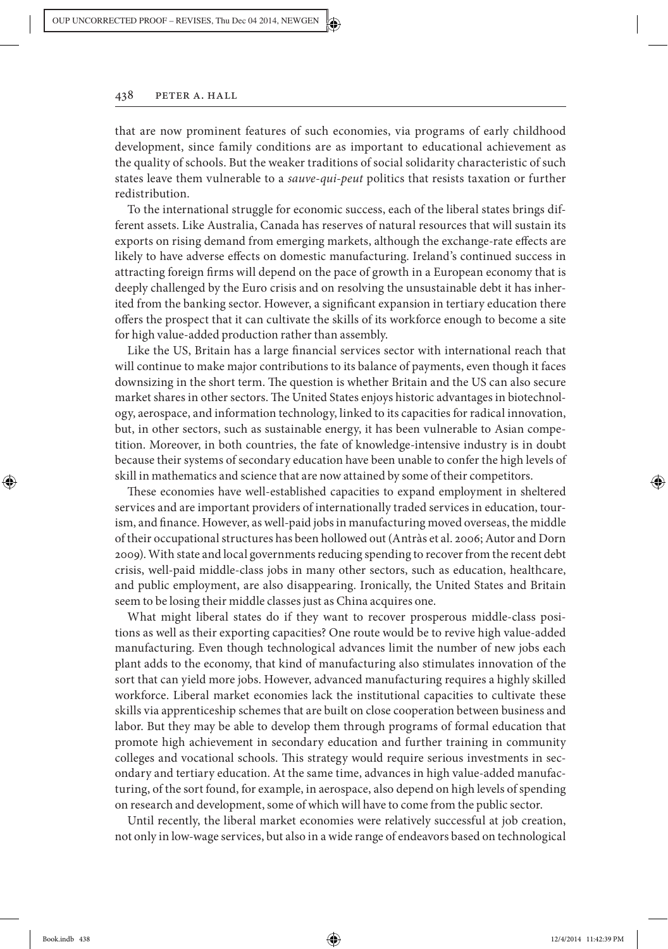that are now prominent features of such economies, via programs of early childhood development, since family conditions are as important to educational achievement as the quality of schools. But the weaker traditions of social solidarity characteristic of such states leave them vulnerable to a *sauve-qui-peut* politics that resists taxation or further redistribution.

To the international struggle for economic success, each of the liberal states brings different assets. Like Australia, Canada has reserves of natural resources that will sustain its exports on rising demand from emerging markets, although the exchange-rate effects are likely to have adverse effects on domestic manufacturing. Ireland's continued success in attracting foreign firms will depend on the pace of growth in a European economy that is deeply challenged by the Euro crisis and on resolving the unsustainable debt it has inherited from the banking sector. However, a significant expansion in tertiary education there offers the prospect that it can cultivate the skills of its workforce enough to become a site for high value-added production rather than assembly.

Like the US, Britain has a large financial services sector with international reach that will continue to make major contributions to its balance of payments, even though it faces downsizing in the short term. The question is whether Britain and the US can also secure market shares in other sectors. The United States enjoys historic advantages in biotechnology, aerospace, and information technology, linked to its capacities for radical innovation, but, in other sectors, such as sustainable energy, it has been vulnerable to Asian competition. Moreover, in both countries, the fate of knowledge-intensive industry is in doubt because their systems of secondary education have been unable to confer the high levels of skill in mathematics and science that are now attained by some of their competitors.

These economies have well-established capacities to expand employment in sheltered services and are important providers of internationally traded services in education, tourism, and finance. However, as well-paid jobs in manufacturing moved overseas, the middle of their occupational structures has been hollowed out (Antràs et al. 2006; Autor and Dorn 2009). With state and local governments reducing spending to recover from the recent debt crisis, well-paid middle-class jobs in many other sectors, such as education, healthcare, and public employment, are also disappearing. Ironically, the United States and Britain seem to be losing their middle classes just as China acquires one.

What might liberal states do if they want to recover prosperous middle-class positions as well as their exporting capacities? One route would be to revive high value-added manufacturing. Even though technological advances limit the number of new jobs each plant adds to the economy, that kind of manufacturing also stimulates innovation of the sort that can yield more jobs. However, advanced manufacturing requires a highly skilled workforce. Liberal market economies lack the institutional capacities to cultivate these skills via apprenticeship schemes that are built on close cooperation between business and labor. But they may be able to develop them through programs of formal education that promote high achievement in secondary education and further training in community colleges and vocational schools. This strategy would require serious investments in secondary and tertiary education. At the same time, advances in high value-added manufacturing, of the sort found, for example, in aerospace, also depend on high levels of spending on research and development, some of which will have to come from the public sector.

Until recently, the liberal market economies were relatively successful at job creation, not only in low-wage services, but also in a wide range of endeavors based on technological

⊕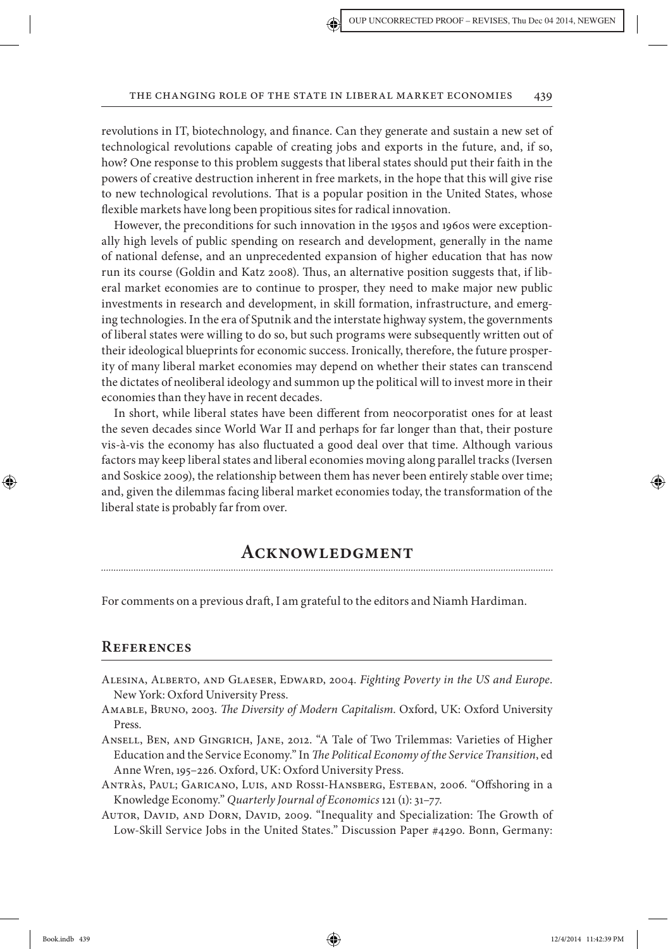revolutions in IT, biotechnology, and finance. Can they generate and sustain a new set of technological revolutions capable of creating jobs and exports in the future, and, if so, how? One response to this problem suggests that liberal states should put their faith in the powers of creative destruction inherent in free markets, in the hope that this will give rise to new technological revolutions. That is a popular position in the United States, whose flexible markets have long been propitious sites for radical innovation.

However, the preconditions for such innovation in the 1950s and 1960s were exceptionally high levels of public spending on research and development, generally in the name of national defense, and an unprecedented expansion of higher education that has now run its course (Goldin and Katz 2008). Thus, an alternative position suggests that, if liberal market economies are to continue to prosper, they need to make major new public investments in research and development, in skill formation, infrastructure, and emerging technologies. In the era of Sputnik and the interstate highway system, the governments of liberal states were willing to do so, but such programs were subsequently written out of their ideological blueprints for economic success. Ironically, therefore, the future prosperity of many liberal market economies may depend on whether their states can transcend the dictates of neoliberal ideology and summon up the political will to invest more in their economies than they have in recent decades.

In short, while liberal states have been different from neocorporatist ones for at least the seven decades since World War II and perhaps for far longer than that, their posture vis-à-vis the economy has also fluctuated a good deal over that time. Although various factors may keep liberal states and liberal economies moving along parallel tracks (Iversen and Soskice 2009), the relationship between them has never been entirely stable over time; and, given the dilemmas facing liberal market economies today, the transformation of the liberal state is probably far from over.

## **Acknowledgment**

For comments on a previous draft, I am grateful to the editors and Niamh Hardiman.

#### **References**

- Alesina, Alberto, and Glaeser, Edward, 2004. *Fighting Poverty in the US and Europe*. New York: Oxford University Press.
- Amable, Bruno, 2003. *The Diversity of Modern Capitalism*. Oxford, UK: Oxford University Press.
- Ansell, Ben, and Gingrich, Jane, 2012. "A Tale of Two Trilemmas: Varieties of Higher Education and the Service Economy." In *The Political Economy of the Service Transition*, ed Anne Wren, 195–226. Oxford, UK: Oxford University Press.
- Antràs, Paul; Garicano, Luis, and Rossi-Hansberg, Esteban, 2006. "Offshoring in a Knowledge Economy." *Quarterly Journal of Economics* 121 (1): 31–77.
- AUTOR, DAVID, AND DORN, DAVID, 2009. "Inequality and Specialization: The Growth of Low-Skill Service Jobs in the United States." Discussion Paper #4290. Bonn, Germany:

⊕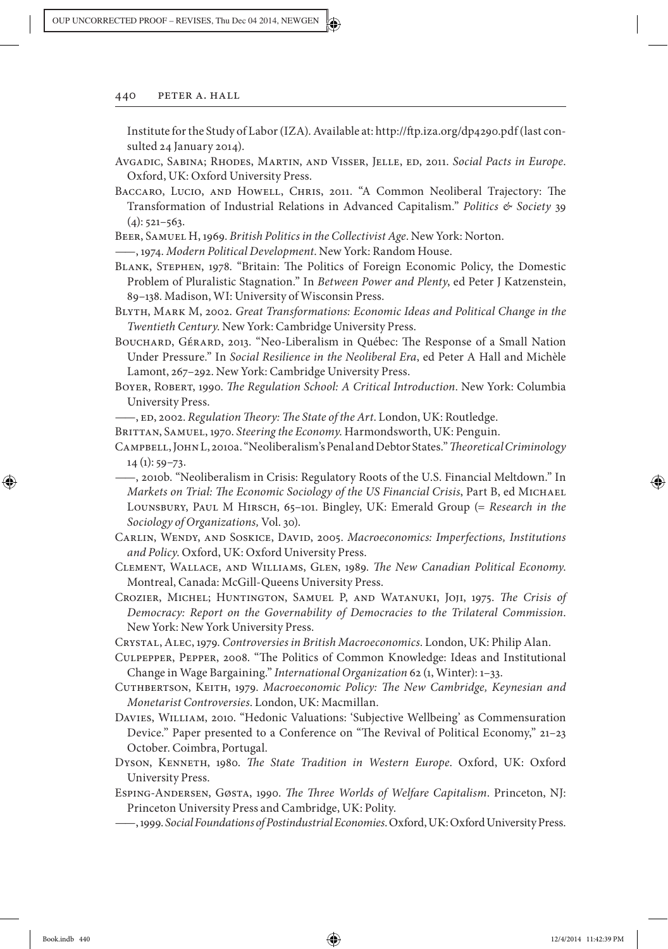Institute for the Study of Labor (IZA). Available at: http://ftp.iza.org/dp4290.pdf (last consulted 24 January 2014).

Avgadic, Sabina; Rhodes, Martin, and Visser, Jelle, ed, 2011. *Social Pacts in Europe*. Oxford, UK: Oxford University Press.

Baccaro, Lucio, and Howell, Chris, 2011. "A Common Neoliberal Trajectory: The Transformation of Industrial Relations in Advanced Capitalism." *Politics & Society* 39  $(4): 521 - 563.$ 

Beer, Samuel H, 1969. *British Politics in the Collectivist Age*. New York: Norton.

——, 1974. *Modern Political Development*. New York: Random House.

- Blank, Stephen, 1978. "Britain: The Politics of Foreign Economic Policy, the Domestic Problem of Pluralistic Stagnation." In *Between Power and Plenty*, ed Peter J Katzenstein, 89–138. Madison, WI: University of Wisconsin Press.
- Blyth, Mark M, 2002. *Great Transformations: Economic Ideas and Political Change in the Twentieth Century*. New York: Cambridge University Press.
- Bouchard, Gérard, 2013. "Neo-Liberalism in Québec: The Response of a Small Nation Under Pressure." In *Social Resilience in the Neoliberal Era*, ed Peter A Hall and Michèle Lamont, 267–292. New York: Cambridge University Press.
- Boyer, Robert, 1990. *The Regulation School: A Critical Introduction*. New York: Columbia University Press.

——, ed, 2002. *Regulation Theory: The State of the Art*. London, UK: Routledge.

BRITTAN, SAMUEL, 1970. *Steering the Economy*. Harmondsworth, UK: Penguin.

- Campbell, John L, 2010a. "Neoliberalism's Penal and Debtor States." *Theoretical Criminology*  $14$  (1): 59–73.
- ——, 2010b. "Neoliberalism in Crisis: Regulatory Roots of the U.S. Financial Meltdown." In *Markets on Trial: The Economic Sociology of the US Financial Crisis, Part B, ed MICHAEL* Lounsbury, Paul M Hirsch, 65–101. Bingley, UK: Emerald Group (= *Research in the Sociology of Organizations,* Vol. 30).

Carlin, Wendy, and Soskice, David, 2005. *Macroeconomics: Imperfections, Institutions and Policy*. Oxford, UK: Oxford University Press.

Clement, Wallace, and Williams, Glen, 1989. *The New Canadian Political Economy*. Montreal, Canada: McGill-Queens University Press.

Crozier, Michel; Huntington, Samuel P, and Watanuki, Joji, 1975. *The Crisis of Democracy: Report on the Governability of Democracies to the Trilateral Commission*. New York: New York University Press.

Crystal, Alec, 1979. *Controversies in British Macroeconomics*. London, UK: Philip Alan.

Culpepper, Pepper, 2008. "The Politics of Common Knowledge: Ideas and Institutional Change in Wage Bargaining." *International Organization* 62 (1, Winter): 1–33.

Cuthbertson, Keith, 1979. *Macroeconomic Policy: The New Cambridge, Keynesian and Monetarist Controversies*. London, UK: Macmillan.

- Davies, William, 2010. "Hedonic Valuations: 'Subjective Wellbeing' as Commensuration Device." Paper presented to a Conference on "The Revival of Political Economy," 21–23 October. Coimbra, Portugal.
- Dyson, Kenneth, 1980. *The State Tradition in Western Europe*. Oxford, UK: Oxford University Press.
- Esping-Andersen, Gøsta, 1990. *The Three Worlds of Welfare Capitalism*. Princeton, NJ: Princeton University Press and Cambridge, UK: Polity.
- ——, 1999. *Social Foundations of Postindustrial Economies*. Oxford, UK: Oxford University Press.

⊕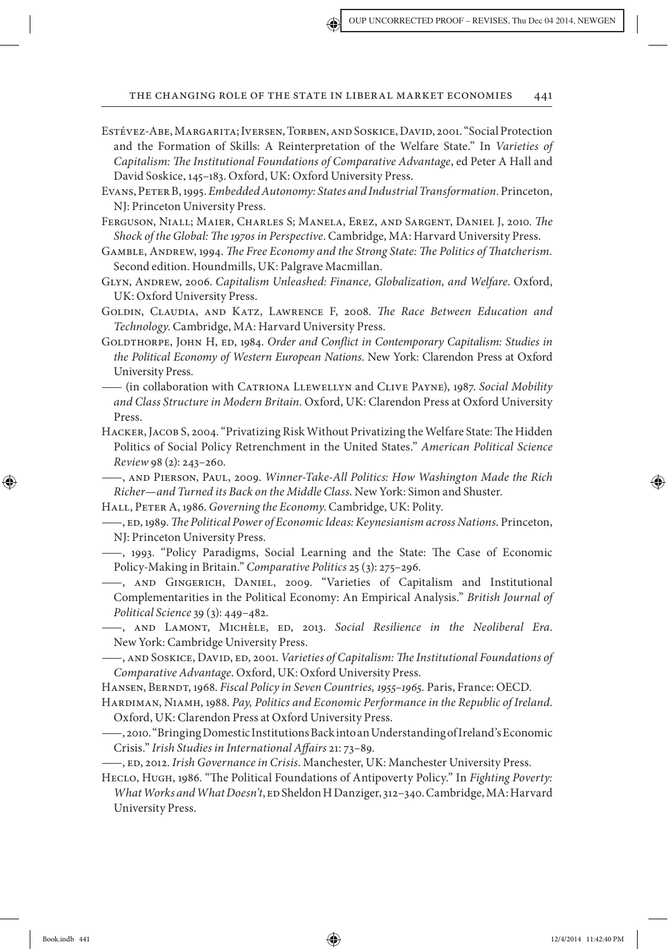- Estévez-Abe, Margarita; Iversen, Torben, andSoskice, David, 2001. "Social Protection and the Formation of Skills: A Reinterpretation of the Welfare State." In *Varieties of Capitalism: The Institutional Foundations of Comparative Advantage*, ed Peter A Hall and David Soskice, 145–183. Oxford, UK: Oxford University Press.
- Evans, Peter B, 1995. *Embedded Autonomy: States and Industrial Transformation*. Princeton, NJ: Princeton University Press.
- Ferguson, Niall; Maier, Charles S; Manela, Erez, and Sargent, Daniel J, 2010. *The Shock of the Global: The 1970s in Perspective*. Cambridge, MA: Harvard University Press.
- Gamble, Andrew, 1994. *The Free Economy and the Strong State: The Politics of Thatcherism.* Second edition. Houndmills, UK: Palgrave Macmillan.
- Glyn, Andrew, 2006. *Capitalism Unleashed: Finance, Globalization, and Welfare*. Oxford, UK: Oxford University Press.
- Goldin, Claudia, and Katz, Lawrence F, 2008. *The Race Between Education and Technology*. Cambridge, MA: Harvard University Press.
- GOLDTHORPE, JOHN H, ED, 1984. *Order and Conflict in Contemporary Capitalism: Studies in the Political Economy of Western European Nations*. New York: Clarendon Press at Oxford University Press.
- —— (in collaboration with Catriona Llewellyn and Clive Payne), 1987. *Social Mobility and Class Structure in Modern Britain*. Oxford, UK: Clarendon Press at Oxford University Press.
- Hacker, Jacob S, 2004. "Privatizing Risk Without Privatizing the Welfare State: The Hidden Politics of Social Policy Retrenchment in the United States." *American Political Science Review* 98 (2): 243–260.
- ——, and Pierson, Paul, 2009. *Winner-Take-All Politics: How Washington Made the Rich Richer—and Turned its Back on the Middle Class*. New York: Simon and Shuster.
- Hall, Peter A, 1986. *Governing the Economy*. Cambridge, UK: Polity.
- ——, ed, 1989. *The Political Power of Economic Ideas: Keynesianism across Nations*. Princeton, NJ: Princeton University Press.
- ——, 1993. "Policy Paradigms, Social Learning and the State: The Case of Economic Policy-Making in Britain." *Comparative Politics* 25 (3): 275–296.
- ——, and Gingerich, Daniel, 2009. "Varieties of Capitalism and Institutional Complementarities in the Political Economy: An Empirical Analysis." *British Journal of Political Science* 39 (3): 449–482.
- ——, and Lamont, Michèle, ed, 2013. *Social Resilience in the Neoliberal Era*. New York: Cambridge University Press.
- –, AND SOSKICE, DAVID, ED, 2001. *Varieties of Capitalism: The Institutional Foundations of Comparative Advantage*. Oxford, UK: Oxford University Press.

HANSEN, BERNDT, 1968. *Fiscal Policy in Seven Countries*, 1955-1965. Paris, France: OECD.

- Hardiman, Niamh, 1988. *Pay, Politics and Economic Performance in the Republic of Ireland*. Oxford, UK: Clarendon Press at Oxford University Press.
- ——, 2010. "Bringing Domestic Institutions Back into an Understanding of Ireland's Economic Crisis." *Irish Studies in International Affairs* 21: 73–89.
- ——, ed, 2012. *Irish Governance in Crisis*. Manchester, UK: Manchester University Press.
- Heclo, Hugh, 1986. "The Political Foundations of Antipoverty Policy." In *Fighting Poverty: What Works and What Doesn't*, ED Sheldon H Danziger, 312-340. Cambridge, MA: Harvard University Press.

⊕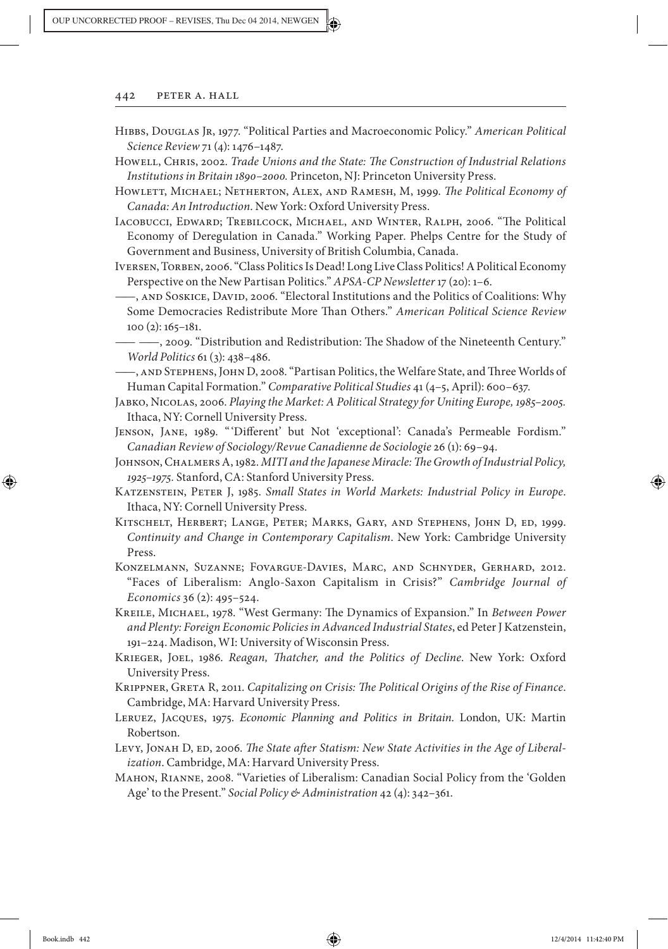- Hibbs, Douglas Jr, 1977. "Political Parties and Macroeconomic Policy." *American Political Science Review* 71 (4): 1476–1487.
- Howell, Chris, 2002. *Trade Unions and the State: The Construction of Industrial Relations Institutions in Britain 1890–2000.* Princeton, NJ: Princeton University Press.
- Howlett, Michael; Netherton, Alex, and Ramesh, M, 1999. *The Political Economy of Canada: An Introduction*. New York: Oxford University Press.
- Iacobucci, Edward; Trebilcock, Michael, and Winter, Ralph, 2006. "The Political Economy of Deregulation in Canada." Working Paper. Phelps Centre for the Study of Government and Business, University of British Columbia, Canada.
- Iversen, Torben, 2006. "Class Politics Is Dead! Long Live Class Politics! A Political Economy Perspective on the New Partisan Politics." *APSA-CP Newsletter* 17 (20): 1–6.
- ——, and Soskice, David, 2006. "Electoral Institutions and the Politics of Coalitions: Why Some Democracies Redistribute More Than Others." *American Political Science Review*  $100 (2): 165 - 181.$
- —, 2009. "Distribution and Redistribution: The Shadow of the Nineteenth Century." *World Politics* 61 (3): 438–486.
- ——, and Stephens, John D, 2008. "Partisan Politics, the Welfare State, and Three Worlds of Human Capital Formation." *Comparative Political Studies* 41 (4–5, April): 600–637.
- Jabko, Nicolas, 2006. *Playing the Market: A Political Strategy for Uniting Europe, 1985–2005.* Ithaca, NY: Cornell University Press.
- Jenson, Jane, 1989. "'Different' but Not 'exceptional': Canada's Permeable Fordism." *Canadian Review of Sociology/Revue Canadienne de Sociologie* 26 (1): 69–94.
- Johnson, Chalmers A, 1982. *MITI and the Japanese Miracle: The Growth of Industrial Policy, 1925–1975.* Stanford, CA: Stanford University Press.
- Katzenstein, Peter J, 1985. *Small States in World Markets: Industrial Policy in Europe*. Ithaca, NY: Cornell University Press.
- Kitschelt, Herbert; Lange, Peter; Marks, Gary, and Stephens, John D, ed, 1999. *Continuity and Change in Contemporary Capitalism*. New York: Cambridge University Press.
- Konzelmann, Suzanne; Fovargue-Davies, Marc, and Schnyder, Gerhard, 2012. "Faces of Liberalism: Anglo-Saxon Capitalism in Crisis?" *Cambridge Journal of Economics* 36 (2): 495–524.
- Kreile, Michael, 1978. "West Germany: The Dynamics of Expansion." In *Between Power and Plenty: Foreign Economic Policies in Advanced Industrial States*, ed Peter J Katzenstein, 191–224. Madison, WI: University of Wisconsin Press.
- Krieger, Joel, 1986. *Reagan, Thatcher, and the Politics of Decline*. New York: Oxford University Press.
- Krippner, Greta R, 2011. *Capitalizing on Crisis: The Political Origins of the Rise of Finance*. Cambridge, MA: Harvard University Press.
- Leruez, Jacques, 1975. *Economic Planning and Politics in Britain*. London, UK: Martin Robertson.
- LEVY, JONAH D, ED, 2006. The State after Statism: New State Activities in the Age of Liberal*ization*. Cambridge, MA: Harvard University Press.
- Mahon, Rianne, 2008. "Varieties of Liberalism: Canadian Social Policy from the 'Golden Age' to the Present." *Social Policy & Administration* 42 (4): 342–361.

⊕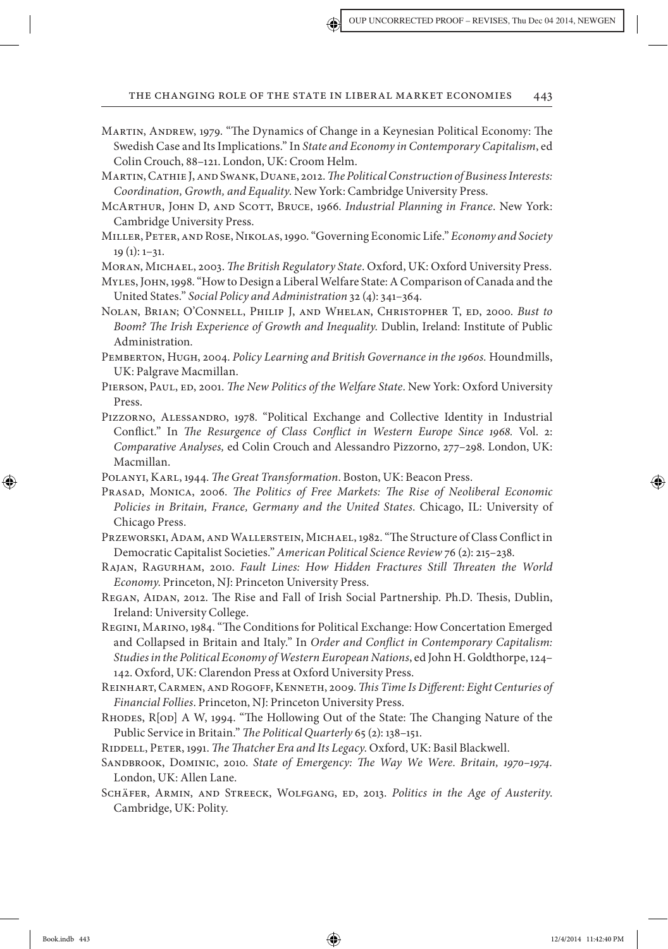- Martin, Andrew, 1979. "The Dynamics of Change in a Keynesian Political Economy: The Swedish Case and Its Implications." In *State and Economy in Contemporary Capitalism*, ed Colin Crouch, 88–121. London, UK: Croom Helm.
- Martin, Cathie J, andSwank, Duane, 2012. *The Political Construction of Business Interests: Coordination, Growth, and Equality*. New York: Cambridge University Press.
- McArthur, John D, and Scott, Bruce, 1966. *Industrial Planning in France*. New York: Cambridge University Press.
- Miller, Peter, andRose, Nikolas, 1990. "Governing Economic Life." *Economy and Society*  $19(1): 1-31.$

Moran, Michael, 2003. *The British Regulatory State*. Oxford, UK: Oxford University Press.

Myles, John, 1998. "How to Design a Liberal Welfare State: A Comparison of Canada and the United States." *Social Policy and Administration* 32 (4): 341–364.

- Nolan, Brian; O'Connell, Philip J, and Whelan, Christopher T, ed, 2000. *Bust to Boom? The Irish Experience of Growth and Inequality*. Dublin, Ireland: Institute of Public Administration.
- Pemberton, Hugh, 2004. *Policy Learning and British Governance in the 1960s.* Houndmills, UK: Palgrave Macmillan.
- Pierson, Paul, ed, 2001. *The New Politics of the Welfare State*. New York: Oxford University Press.
- PIZZORNO, ALESSANDRO, 1978. "Political Exchange and Collective Identity in Industrial Conflict." In *The Resurgence of Class Conflict in Western Europe Since 1968.* Vol. 2: *Comparative Analyses,* ed Colin Crouch and Alessandro Pizzorno, 277–298. London, UK: Macmillan.
- Polanyi, Karl, 1944. *The Great Transformation*. Boston, UK: Beacon Press.
- Prasad, Monica, 2006. *The Politics of Free Markets: The Rise of Neoliberal Economic Policies in Britain, France, Germany and the United States*. Chicago, IL: University of Chicago Press.
- Przeworski, Adam, and Wallerstein, Michael, 1982. "The Structure of Class Conflict in Democratic Capitalist Societies." *American Political Science Review* 76 (2): 215–238.
- Rajan, Ragurham, 2010. *Fault Lines: How Hidden Fractures Still Threaten the World Economy*. Princeton, NJ: Princeton University Press.
- Regan, Aidan, 2012. The Rise and Fall of Irish Social Partnership. Ph.D. Thesis, Dublin, Ireland: University College.
- Regini, Marino, 1984. "The Conditions for Political Exchange: How Concertation Emerged and Collapsed in Britain and Italy." In *Order and Conflict in Contemporary Capitalism: Studies in the Political Economy of Western European Nations*, ed John H. Goldthorpe, 124– 142. Oxford, UK: Clarendon Press at Oxford University Press.
- Reinhart, Carmen, and Rogoff, Kenneth, 2009. *This Time Is Different: Eight Centuries of Financial Follies*. Princeton, NJ: Princeton University Press.
- Rhodes, R[od] A W, 1994. "The Hollowing Out of the State: The Changing Nature of the Public Service in Britain." *The Political Quarterly* 65 (2): 138–151.
- Riddell, Peter, 1991. *The Thatcher Era and Its Legacy*. Oxford, UK: Basil Blackwell.
- Sandbrook, Dominic, 2010. *State of Emergency: The Way We Were. Britain, 1970–1974.* London, UK: Allen Lane.
- Schäfer, Armin, and Streeck, Wolfgang, ed, 2013. *Politics in the Age of Austerity*. Cambridge, UK: Polity.

⊕